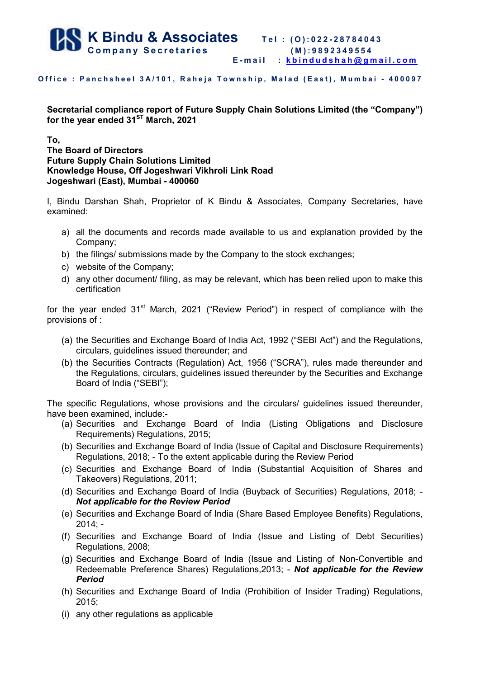

## Office : Panchsheel 3A/101, Raheja Township, Malad (East), Mumbai - 400097

**Secretarial compliance report of Future Supply Chain Solutions Limited (the "Company") for the year ended 31ST March, 2021** 

## **To,**

**The Board of Directors Future Supply Chain Solutions Limited Knowledge House, Off Jogeshwari Vikhroli Link Road Jogeshwari (East), Mumbai - 400060** 

I, Bindu Darshan Shah, Proprietor of K Bindu & Associates, Company Secretaries, have examined:

- a) all the documents and records made available to us and explanation provided by the Company;
- b) the filings/ submissions made by the Company to the stock exchanges;
- c) website of the Company;
- d) any other document/ filing, as may be relevant, which has been relied upon to make this certification

for the year ended  $31<sup>st</sup>$  March, 2021 ("Review Period") in respect of compliance with the provisions of :

- (a) the Securities and Exchange Board of India Act, 1992 ("SEBI Act") and the Regulations, circulars, guidelines issued thereunder; and
- (b) the Securities Contracts (Regulation) Act, 1956 ("SCRA"), rules made thereunder and the Regulations, circulars, guidelines issued thereunder by the Securities and Exchange Board of India ("SEBI");

The specific Regulations, whose provisions and the circulars/ guidelines issued thereunder, have been examined, include:-

- (a) Securities and Exchange Board of India (Listing Obligations and Disclosure Requirements) Regulations, 2015;
- (b) Securities and Exchange Board of India (Issue of Capital and Disclosure Requirements) Regulations, 2018; - To the extent applicable during the Review Period
- (c) Securities and Exchange Board of India (Substantial Acquisition of Shares and Takeovers) Regulations, 2011;
- (d) Securities and Exchange Board of India (Buyback of Securities) Regulations, 2018; *Not applicable for the Review Period*
- (e) Securities and Exchange Board of India (Share Based Employee Benefits) Regulations, 2014; -
- (f) Securities and Exchange Board of India (Issue and Listing of Debt Securities) Regulations, 2008;
- (g) Securities and Exchange Board of India (Issue and Listing of Non-Convertible and Redeemable Preference Shares) Regulations,2013; - *Not applicable for the Review Period*
- (h) Securities and Exchange Board of India (Prohibition of Insider Trading) Regulations, 2015;
- (i) any other regulations as applicable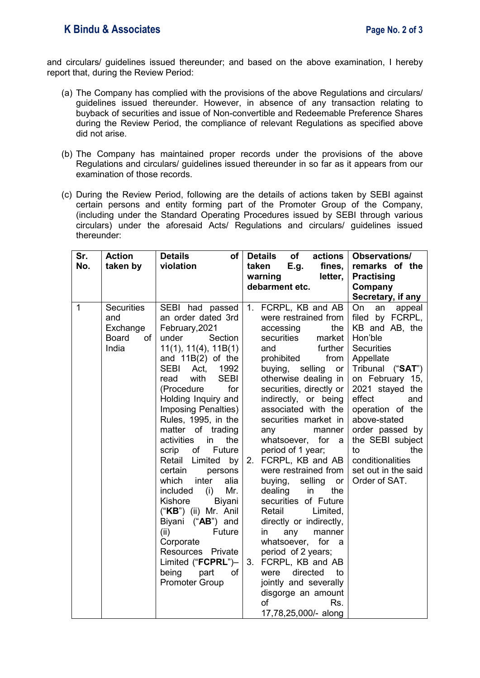## **K Bindu & Associates Page No. 2 of 3**

and circulars/ guidelines issued thereunder; and based on the above examination, I hereby report that, during the Review Period:

- (a) The Company has complied with the provisions of the above Regulations and circulars/ guidelines issued thereunder. However, in absence of any transaction relating to buyback of securities and issue of Non-convertible and Redeemable Preference Shares during the Review Period, the compliance of relevant Regulations as specified above did not arise.
- (b) The Company has maintained proper records under the provisions of the above Regulations and circulars/ guidelines issued thereunder in so far as it appears from our examination of those records.
- (c) During the Review Period, following are the details of actions taken by SEBI against certain persons and entity forming part of the Promoter Group of the Company, (including under the Standard Operating Procedures issued by SEBI through various circulars) under the aforesaid Acts/ Regulations and circulars/ guidelines issued thereunder:

| Sr.          | <b>Action</b>                                                | <b>Details</b><br>of I                                                                                                                                                                                                                                                                                                                                                                                                                                                                                                                                                                                                                              | <b>Details</b><br>of<br>actions                                                                                                                                                                                                                                                                                                                                                                                                                                                                                                                                                                                                                                                                                                     | <b>Observations/</b>                                                                                                                                                                                                                                                                                                                |
|--------------|--------------------------------------------------------------|-----------------------------------------------------------------------------------------------------------------------------------------------------------------------------------------------------------------------------------------------------------------------------------------------------------------------------------------------------------------------------------------------------------------------------------------------------------------------------------------------------------------------------------------------------------------------------------------------------------------------------------------------------|-------------------------------------------------------------------------------------------------------------------------------------------------------------------------------------------------------------------------------------------------------------------------------------------------------------------------------------------------------------------------------------------------------------------------------------------------------------------------------------------------------------------------------------------------------------------------------------------------------------------------------------------------------------------------------------------------------------------------------------|-------------------------------------------------------------------------------------------------------------------------------------------------------------------------------------------------------------------------------------------------------------------------------------------------------------------------------------|
| No.          | taken by                                                     | violation                                                                                                                                                                                                                                                                                                                                                                                                                                                                                                                                                                                                                                           | fines,<br>taken<br>E.g.                                                                                                                                                                                                                                                                                                                                                                                                                                                                                                                                                                                                                                                                                                             | remarks of the                                                                                                                                                                                                                                                                                                                      |
|              |                                                              |                                                                                                                                                                                                                                                                                                                                                                                                                                                                                                                                                                                                                                                     | warning<br>letter,                                                                                                                                                                                                                                                                                                                                                                                                                                                                                                                                                                                                                                                                                                                  | <b>Practising</b>                                                                                                                                                                                                                                                                                                                   |
|              |                                                              |                                                                                                                                                                                                                                                                                                                                                                                                                                                                                                                                                                                                                                                     | debarment etc.                                                                                                                                                                                                                                                                                                                                                                                                                                                                                                                                                                                                                                                                                                                      | Company                                                                                                                                                                                                                                                                                                                             |
|              |                                                              |                                                                                                                                                                                                                                                                                                                                                                                                                                                                                                                                                                                                                                                     |                                                                                                                                                                                                                                                                                                                                                                                                                                                                                                                                                                                                                                                                                                                                     | Secretary, if any                                                                                                                                                                                                                                                                                                                   |
| $\mathbf{1}$ | <b>Securities</b><br>and<br>Exchange<br>Board<br>of<br>India | SEBI had passed<br>an order dated 3rd<br>February, 2021<br>under<br>Section<br>11(1), 11(4), 11B(1)<br>and $11B(2)$ of the<br>SEBI Act,<br>1992<br><b>SEBI</b><br>with<br>read<br>for<br>(Procedure<br>Holding Inquiry and<br><b>Imposing Penalties)</b><br>Rules, 1995, in the<br>matter of trading<br>activities<br>the<br>in<br>of<br>Future<br>scrip<br>Retail Limited<br>by<br>certain<br>persons<br>inter<br>which<br>alia<br>Mr.<br>included<br>(i)<br>Kishore<br>Biyani<br>("KB") (ii) Mr. Anil<br>Biyani ("AB") and<br>Future<br>(ii)<br>Corporate<br>Resources Private<br>Limited ("FCPRL")-<br>being part<br>of<br><b>Promoter Group</b> | 1. FCRPL, KB and AB<br>were restrained from<br>accessing<br>the<br>securities<br>market<br>further<br>and<br>prohibited<br>from<br>buying, selling<br>or<br>otherwise dealing in<br>securities, directly or<br>indirectly, or being<br>associated with the<br>securities market in<br>manner<br>any<br>whatsoever, for a<br>period of 1 year;<br>FCRPL, KB and AB<br>2.<br>were restrained from<br>buying,<br>selling or<br>the<br>dealing<br>in<br>securities of Future<br>Retail<br>Limited,<br>directly or indirectly,<br>any<br>manner<br>in<br>whatsoever, for a<br>period of 2 years;<br>FCRPL, KB and AB<br>3.<br>directed<br>were<br>to<br>jointly and severally<br>disgorge an amount<br>of<br>Rs.<br>17,78,25,000/- along | On<br>appeal<br>an<br>filed by FCRPL,<br>KB and AB, the<br>Hon'ble<br><b>Securities</b><br>Appellate<br>Tribunal ("SAT")<br>on February 15,<br>2021 stayed the<br>effect<br>and<br>operation of the<br>above-stated<br>order passed by<br>the SEBI subject<br>the<br>to<br>conditionalities<br>set out in the said<br>Order of SAT. |